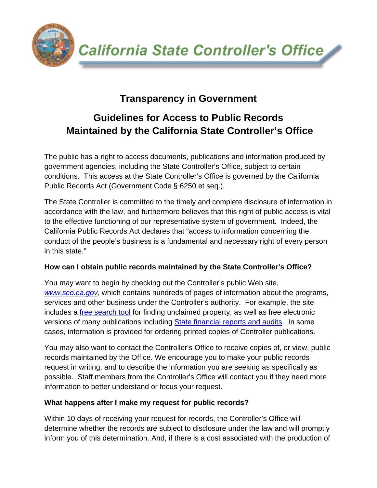**California State Controller's Office** 

## **Transparency in Government**

**THE CONS** 

# **Guidelines for Access to Public Records Maintained by the California State Controller's Office**

The public has a right to access documents, publications and information produced by government agencies, including the State Controller's Office, subject to certain conditions. This access at the State Controller's Office is governed by the California Public Records Act (Government Code § 6250 et seq.).

The State Controller is committed to the timely and complete disclosure of information in accordance with the law, and furthermore believes that this right of public access is vital to the effective functioning of our representative system of government. Indeed, the California Public Records Act declares that "access to information concerning the conduct of the people's business is a fundamental and necessary right of every person in this state."

## **How can I obtain public records maintained by the State Controller's Office?**

You may want to begin by checking out the Controller's public Web site, *www.sco.ca.gov*, which contains hundreds of pages of information about the programs, services and other business under the Controller's authority. For example, the site includes a free search tool for finding unclaimed property, as well as free electronic versions of many publications including State financial reports and audits. In some cases, information is provided for ordering printed copies of Controller publications.

You may also want to contact the Controller's Office to receive copies of, or view, public records maintained by the Office. We encourage you to make your public records request in writing, and to describe the information you are seeking as specifically as possible. Staff members from the Controller's Office will contact you if they need more information to better understand or focus your request.

## **What happens after I make my request for public records?**

Within 10 days of receiving your request for records, the Controller's Office will determine whether the records are subject to disclosure under the law and will promptly inform you of this determination. And, if there is a cost associated with the production of